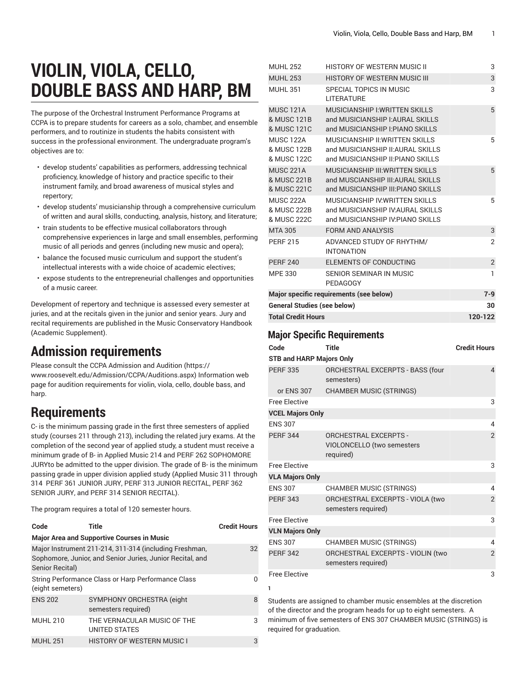# **VIOLIN, VIOLA, CELLO, DOUBLE BASS AND HARP, BM**

The purpose of the Orchestral Instrument Performance Programs at CCPA is to prepare students for careers as a solo, chamber, and ensemble performers, and to routinize in students the habits consistent with success in the professional environment. The undergraduate program's objectives are to:

- develop students' capabilities as performers, addressing technical proficiency, knowledge of history and practice specific to their instrument family, and broad awareness of musical styles and repertory;
- develop students' musicianship through a comprehensive curriculum of written and aural skills, conducting, analysis, history, and literature;
- train students to be effective musical collaborators through comprehensive experiences in large and small ensembles, performing music of all periods and genres (including new music and opera);
- balance the focused music curriculum and support the student's intellectual interests with a wide choice of academic electives;
- expose students to the entrepreneurial challenges and opportunities of a music career.

Development of repertory and technique is assessed every semester at juries, and at the recitals given in the junior and senior years. Jury and recital requirements are published in the Music Conservatory Handbook (Academic Supplement).

# **Admission requirements**

Please consult the CCPA [Admission](https://www.roosevelt.edu/Admission/CCPA/Auditions.aspx) and Audition ([https://](https://www.roosevelt.edu/Admission/CCPA/Auditions.aspx) [www.roosevelt.edu/Admission/CCPA/Auditions.aspx\)](https://www.roosevelt.edu/Admission/CCPA/Auditions.aspx) Information web page for audition requirements for violin, viola, cello, double bass, and harp.

## **Requirements**

C- is the minimum passing grade in the first three semesters of applied study (courses 211 through 213), including the related jury exams. At the completion of the second year of applied study, a student must receive a minimum grade of B- in Applied Music 214 and PERF 262 SOPHOMORE JURYto be admitted to the upper division. The grade of B- is the minimum passing grade in upper division applied study (Applied Music 311 through 314 PERF 361 JUNIOR JURY, PERF 313 JUNIOR RECITAL, PERF 362 SENIOR JURY, and PERF 314 SENIOR RECITAL).

The program requires a total of 120 semester hours.

| Code             | Title                                                                                                               | <b>Credit Hours</b> |
|------------------|---------------------------------------------------------------------------------------------------------------------|---------------------|
|                  | <b>Major Area and Supportive Courses in Music</b>                                                                   |                     |
| Senior Recital)  | Major Instrument 211-214, 311-314 (including Freshman,<br>Sophomore, Junior, and Senior Juries, Junior Recital, and | 32                  |
| (eight semeters) | String Performance Class or Harp Performance Class                                                                  | O                   |
| <b>ENS 202</b>   | SYMPHONY ORCHESTRA (eight<br>semesters required)                                                                    | 8                   |
| <b>MUHL 210</b>  | THE VERNACULAR MUSIC OF THE<br><b>UNITED STATES</b>                                                                 | 3                   |
| <b>MUHL 251</b>  | <b>HISTORY OF WESTERN MUSIC I</b>                                                                                   | 3                   |

| <b>MUHL 252</b>                                | HISTORY OF WESTERN MUSIC II                                                                                   | 3              |
|------------------------------------------------|---------------------------------------------------------------------------------------------------------------|----------------|
| <b>MUHL 253</b>                                | <b>HISTORY OF WESTERN MUSIC III</b>                                                                           | 3              |
| <b>MUHL 351</b>                                | SPECIAL TOPICS IN MUSIC<br>LITERATURE                                                                         | 3              |
| <b>MUSC 121A</b><br>& MUSC 121B<br>& MUSC 121C | <b>MUSICIANSHIP I: WRITTEN SKILLS</b><br>and MUSICIANSHIP I: AURAL SKILLS<br>and MUSICIANSHIP I: PIANO SKILLS | 5              |
| <b>MUSC 122A</b><br>& MUSC 122B<br>& MUSC 122C | MUSICIANSHIP II: WRITTEN SKILLS<br>and MUSICIANSHIP II: AURAL SKILLS<br>and MUSICIANSHIP II: PIANO SKILLS     | 5              |
| <b>MUSC 221A</b><br>& MUSC 221B<br>& MUSC 221C | MUSICIANSHIP III: WRITTEN SKILLS<br>and MUSCIANSHIP III: AURAL SKILLS<br>and MUSICIANSHIP III: PIANO SKILLS   | 5              |
| <b>MUSC 222A</b><br>& MUSC 222B<br>& MUSC 222C | <b>MUSICIANSHIP IV WRITTEN SKILLS</b><br>and MUSICIANSHIP IV AURAL SKILLS<br>and MUSICIANSHIP IV PIANO SKILLS | 5              |
| <b>MTA 305</b>                                 | <b>FORM AND ANALYSIS</b>                                                                                      | 3              |
| <b>PERF 215</b>                                | ADVANCED STUDY OF RHYTHM/<br><b>INTONATION</b>                                                                | $\mathcal{P}$  |
| <b>PERF 240</b>                                | ELEMENTS OF CONDUCTING                                                                                        | $\overline{c}$ |
| <b>MPE 330</b>                                 | SENIOR SEMINAR IN MUSIC<br>PEDAGOGY                                                                           | 1              |
|                                                | Major specific requirements (see below)                                                                       | $7 - 9$        |
| <b>General Studies (see below)</b>             | 30                                                                                                            |                |
| <b>Total Credit Hours</b>                      | 120-122                                                                                                       |                |

### **Major Specific Requirements**

| Code                            | <b>Title</b>                                                            | <b>Credit Hours</b> |
|---------------------------------|-------------------------------------------------------------------------|---------------------|
| <b>STB and HARP Majors Only</b> |                                                                         |                     |
| <b>PERF 335</b>                 | ORCHESTRAL EXCERPTS - BASS (four<br>semesters)                          | $\overline{4}$      |
| or ENS 307                      | <b>CHAMBER MUSIC (STRINGS)</b>                                          |                     |
| <b>Free Elective</b>            |                                                                         | 3                   |
| <b>VCEL Majors Only</b>         |                                                                         |                     |
| <b>ENS 307</b>                  |                                                                         | 4                   |
| <b>PERF 344</b>                 | <b>ORCHESTRAL EXCERPTS -</b><br>VIOLONCELLO (two semesters<br>required) | $\overline{2}$      |
| <b>Free Elective</b>            |                                                                         | 3                   |
| <b>VLA Majors Only</b>          |                                                                         |                     |
| <b>ENS 307</b>                  | CHAMBER MUSIC (STRINGS)                                                 | 4                   |
| <b>PERF 343</b>                 | ORCHESTRAL EXCERPTS - VIOLA (two<br>semesters required)                 | $\overline{2}$      |
| <b>Free Elective</b>            |                                                                         | 3                   |
| <b>VLN Majors Only</b>          |                                                                         |                     |
| <b>ENS 307</b>                  | CHAMBER MUSIC (STRINGS)                                                 | 4                   |
| <b>PERF 342</b>                 | ORCHESTRAL EXCERPTS - VIOLIN (two<br>semesters required)                | $\overline{2}$      |
| <b>Free Elective</b>            |                                                                         | 3                   |
| ı                               |                                                                         |                     |

Students are assigned to chamber music ensembles at the discretion of the director and the program heads for up to eight semesters. A minimum of five semesters of ENS 307 CHAMBER MUSIC (STRINGS) is required for graduation.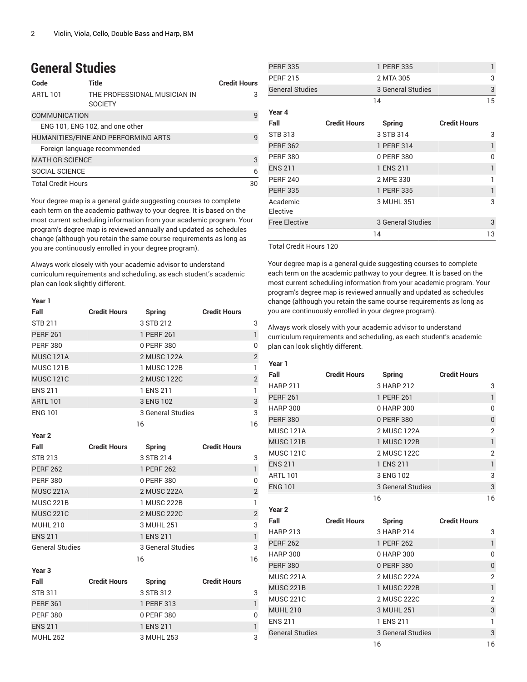### **General Studies**

| Code                      | Title                                          | <b>Credit Hours</b> |
|---------------------------|------------------------------------------------|---------------------|
| <b>ARTL 101</b>           | THE PROFESSIONAL MUSICIAN IN<br><b>SOCIETY</b> | 3                   |
| <b>COMMUNICATION</b>      |                                                | 9                   |
|                           | ENG 101, ENG 102, and one other                |                     |
|                           | HUMANITIES/FINE AND PERFORMING ARTS            | q                   |
|                           | Foreign language recommended                   |                     |
| <b>MATH OR SCIENCE</b>    |                                                | 3                   |
| SOCIAL SCIENCE            |                                                | 6                   |
| <b>Total Credit Hours</b> |                                                | 30                  |

Your degree map is a general guide suggesting courses to complete each term on the academic pathway to your degree. It is based on the most current scheduling information from your academic program. Your program's degree map is reviewed annually and updated as schedules change (although you retain the same course requirements as long as you are continuously enrolled in your degree program).

Always work closely with your academic advisor to understand curriculum requirements and scheduling, as each student's academic plan can look slightly different.

#### **Year 1 Fall Credit Hours Spring Credit Hours** STB 211 3 STB 212 3 PERF 261 1 PERF 261 1 PERF 380 0 PERF 380 0 MUSC 121A 2 MUSC 122A 2 MUSC 121B 1 MUSC 122B 1 MUSC 121C 2 MUSC 122C 2 ENS 211 1 ENS 211 1 ENS 211 ARTL 101 3 ENG 102 ENG 101 3 General Studies 3

16 16

| Year 2                 |                     |                   |                     |                |
|------------------------|---------------------|-------------------|---------------------|----------------|
| Fall                   | <b>Credit Hours</b> | Spring            | <b>Credit Hours</b> |                |
| <b>STB 213</b>         |                     | 3 STB 214         |                     | 3              |
| <b>PERF 262</b>        |                     | 1 PERF 262        |                     | 1              |
| <b>PERF 380</b>        |                     | 0 PERF 380        |                     | $\mathbf{0}$   |
| <b>MUSC 221A</b>       |                     | 2 MUSC 222A       |                     | $\overline{2}$ |
| <b>MUSC 221B</b>       |                     | 1 MUSC 222B       |                     | 1              |
| <b>MUSC 221C</b>       |                     | 2 MUSC 222C       |                     | $\overline{2}$ |
| <b>MUHL 210</b>        |                     | 3 MUHL 251        |                     | 3              |
| <b>ENS 211</b>         |                     | 1 ENS 211         |                     | $\mathbf{1}$   |
| <b>General Studies</b> |                     | 3 General Studies |                     | 3              |
|                        |                     | 16                |                     | 16             |
| Year 3                 |                     |                   |                     |                |
| Fall                   | <b>Credit Hours</b> | Spring            | <b>Credit Hours</b> |                |
| <b>STB 311</b>         |                     | 3 STB 312         |                     | 3              |
| <b>PERF 361</b>        |                     | 1 PERF 313        |                     | 1              |
| <b>PERF 380</b>        |                     | 0 PERF 380        |                     | 0              |
| <b>ENS 211</b>         |                     | 1 ENS 211         |                     | 1              |
| MUHI 252               |                     | 3 MUHI 253        |                     | 3              |

| <b>PERF 335</b>        |                     | 1 PERF 335        |                     | 1        |
|------------------------|---------------------|-------------------|---------------------|----------|
| <b>PERF 215</b>        |                     | 2 MTA 305         |                     | 3        |
| <b>General Studies</b> |                     | 3 General Studies |                     | 3        |
|                        |                     | 14                |                     | 15       |
| Year 4                 |                     |                   |                     |          |
| Fall                   | <b>Credit Hours</b> | <b>Spring</b>     | <b>Credit Hours</b> |          |
| <b>STB 313</b>         |                     | 3 STB 314         |                     | 3        |
| <b>PERF 362</b>        |                     | 1 PERF 314        |                     | 1        |
| <b>PERF 380</b>        |                     | 0 PERF 380        |                     | $\Omega$ |
| <b>ENS 211</b>         |                     | 1 ENS 211         |                     | 1        |
| <b>PERF 240</b>        |                     | 2 MPE 330         |                     | 1        |
| <b>PERF 335</b>        |                     | 1 PERF 335        |                     | 1        |
| Academic<br>Elective   |                     | 3 MUHL 351        |                     | 3        |
| <b>Free Elective</b>   |                     | 3 General Studies |                     | 3        |
|                        |                     | 14                |                     | 13       |

Total Credit Hours 120

Your degree map is a general guide suggesting courses to complete each term on the academic pathway to your degree. It is based on the most current scheduling information from your academic program. Your program's degree map is reviewed annually and updated as schedules change (although you retain the same course requirements as long as you are continuously enrolled in your degree program).

Always work closely with your academic advisor to understand curriculum requirements and scheduling, as each student's academic plan can look slightly different.

#### **Year 1**

| Fall                   | <b>Credit Hours</b> | <b>Spring</b>     | <b>Credit Hours</b> |                |
|------------------------|---------------------|-------------------|---------------------|----------------|
| <b>HARP 211</b>        |                     | 3 HARP 212        |                     | 3              |
| <b>PERF 261</b>        |                     | 1 PERF 261        |                     | $\mathbf{1}$   |
| <b>HARP 300</b>        |                     | 0 HARP 300        |                     | 0              |
| <b>PERF 380</b>        |                     | 0 PERF 380        |                     | $\overline{0}$ |
| <b>MUSC 121A</b>       |                     | 2 MUSC 122A       |                     | $\overline{2}$ |
| <b>MUSC 121B</b>       |                     | 1 MUSC 122B       |                     | $\mathbf{1}$   |
| <b>MUSC 121C</b>       |                     | 2 MUSC 122C       |                     | $\overline{2}$ |
| <b>ENS 211</b>         |                     | 1 ENS 211         |                     | $\mathbf{1}$   |
| <b>ARTL 101</b>        |                     | 3 ENG 102         |                     | 3              |
| <b>ENG 101</b>         |                     | 3 General Studies |                     | 3              |
|                        |                     | 16                |                     | 16             |
| Year <sub>2</sub>      |                     |                   |                     |                |
| Fall                   | <b>Credit Hours</b> | <b>Spring</b>     | <b>Credit Hours</b> |                |
| <b>HARP 213</b>        |                     | 3 HARP 214        |                     | 3              |
| <b>PERF 262</b>        |                     | 1 PERF 262        |                     | $\mathbf{1}$   |
| <b>HARP 300</b>        |                     | 0 HARP 300        |                     | 0              |
| <b>PERF 380</b>        |                     | 0 PERF 380        |                     | $\overline{0}$ |
| <b>MUSC 221A</b>       |                     | 2 MUSC 222A       |                     | 2              |
| <b>MUSC 221B</b>       |                     | 1 MUSC 222B       |                     | $\mathbf{1}$   |
| <b>MUSC 221C</b>       |                     | 2 MUSC 222C       |                     | $\overline{2}$ |
| <b>MUHL 210</b>        |                     | 3 MUHL 251        |                     | 3              |
| <b>ENS 211</b>         |                     | 1 ENS 211         |                     | 1              |
| <b>General Studies</b> |                     | 3 General Studies |                     | 3              |
|                        |                     | 16                |                     | 16             |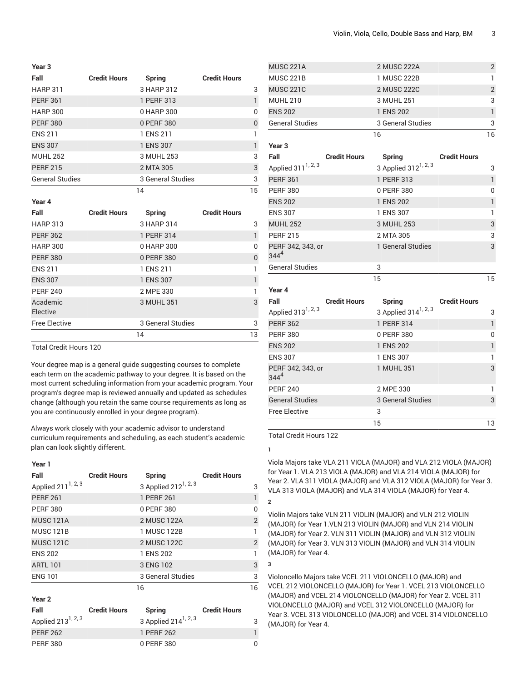| Year 3                 |                     |                   |                     |          |
|------------------------|---------------------|-------------------|---------------------|----------|
| Fall                   | <b>Credit Hours</b> | Spring            | <b>Credit Hours</b> |          |
| <b>HARP 311</b>        |                     | 3 HARP 312        |                     | 3        |
| <b>PERF 361</b>        |                     | 1 PERF 313        |                     | 1        |
| <b>HARP 300</b>        |                     | 0 HARP 300        |                     | 0        |
| <b>PERF 380</b>        |                     | 0 PERF 380        |                     | $\Omega$ |
| <b>ENS 211</b>         |                     | 1 ENS 211         |                     | 1        |
| <b>ENS 307</b>         |                     | 1 ENS 307         |                     |          |
| <b>MUHL 252</b>        |                     | 3 MUHL 253        |                     | 3        |
| <b>PERF 215</b>        |                     | 2 MTA 305         |                     | 3        |
| <b>General Studies</b> |                     | 3 General Studies |                     | 3        |
|                        |                     | 14                |                     | 15       |

**Year 4**

| ד ושטו               |                     |                   |                     |    |
|----------------------|---------------------|-------------------|---------------------|----|
| Fall                 | <b>Credit Hours</b> | Spring            | <b>Credit Hours</b> |    |
| <b>HARP 313</b>      |                     | 3 HARP 314        |                     | 3  |
| <b>PERF 362</b>      |                     | 1 PERF 314        |                     |    |
| <b>HARP 300</b>      |                     | 0 HARP 300        |                     | O  |
| <b>PERF 380</b>      |                     | 0 PERF 380        |                     | 0  |
| <b>ENS 211</b>       |                     | 1 ENS 211         |                     |    |
| <b>ENS 307</b>       |                     | 1 ENS 307         |                     |    |
| <b>PERF 240</b>      |                     | 2 MPE 330         |                     |    |
| Academic<br>Elective |                     | 3 MUHL 351        |                     | 3  |
| <b>Free Elective</b> |                     | 3 General Studies |                     | 3  |
|                      |                     | 14                |                     | 13 |

Total Credit Hours 120

Your degree map is a general guide suggesting courses to complete each term on the academic pathway to your degree. It is based on the most current scheduling information from your academic program. Your program's degree map is reviewed annually and updated as schedules change (although you retain the same course requirements as long as you are continuously enrolled in your degree program).

Always work closely with your academic advisor to understand curriculum requirements and scheduling, as each student's academic plan can look slightly different.

#### **Year 1**

| Fall                           | <b>Credit Hours</b> | Spring                           | <b>Credit Hours</b> |                |
|--------------------------------|---------------------|----------------------------------|---------------------|----------------|
| Applied 211 <sup>1, 2, 3</sup> |                     | 3 Applied 212 <sup>1, 2, 3</sup> |                     | 3              |
| <b>PERF 261</b>                |                     | 1 PERF 261                       |                     | $\mathbf{1}$   |
| <b>PERF 380</b>                |                     | 0 PERF 380                       |                     | 0              |
| <b>MUSC 121A</b>               |                     | 2 MUSC 122A                      |                     | $\overline{2}$ |
| MUSC 121B                      |                     | 1 MUSC 122B                      |                     | 1              |
| <b>MUSC 121C</b>               |                     | 2 MUSC 122C                      |                     | $\overline{2}$ |
| <b>ENS 202</b>                 |                     | 1 ENS 202                        |                     | 1              |
| <b>ARTL 101</b>                |                     | 3 ENG 102                        |                     | 3              |
| <b>ENG 101</b>                 |                     | 3 General Studies                |                     | 3              |
|                                |                     | 16                               |                     | 16             |
| Year <sub>2</sub>              |                     |                                  |                     |                |
| Fall                           | <b>Credit Hours</b> | Spring                           | <b>Credit Hours</b> |                |
| Applied 213 <sup>1, 2, 3</sup> |                     | 3 Applied $214^{1, 2, 3}$        |                     | 3              |
| <b>PERF 262</b>                |                     | 1 PERF 262                       |                     | 1              |
| PFRF 380                       |                     | 0 PFRF 380                       |                     | U              |

| <b>MUSC 221A</b>               |                     |    | 2 MUSC 222A                      |                     | $\overline{2}$ |
|--------------------------------|---------------------|----|----------------------------------|---------------------|----------------|
| <b>MUSC 221B</b>               |                     |    | 1 MUSC 222B                      |                     | $\mathbf{1}$   |
| <b>MUSC 221C</b>               |                     |    | 2 MUSC 222C                      |                     | $\overline{2}$ |
| <b>MUHL 210</b>                |                     |    | 3 MUHL 251                       |                     | 3              |
| <b>ENS 202</b>                 |                     |    | 1 ENS 202                        |                     | $\mathbf{1}$   |
| <b>General Studies</b>         |                     |    | 3 General Studies                |                     | 3              |
|                                |                     | 16 |                                  |                     | 16             |
| Year <sub>3</sub>              |                     |    |                                  |                     |                |
| Fall                           | <b>Credit Hours</b> |    | <b>Spring</b>                    | <b>Credit Hours</b> |                |
| Applied 311 <sup>1, 2, 3</sup> |                     |    | 3 Applied $312^{1, 2, 3}$        |                     | 3              |
| <b>PERF 361</b>                |                     |    | 1 PERF 313                       |                     | $\mathbf{1}$   |
| <b>PERF 380</b>                |                     |    | 0 PERF 380                       |                     | 0              |
| <b>ENS 202</b>                 |                     |    | 1 ENS 202                        |                     | $\mathbf{1}$   |
| <b>ENS 307</b>                 |                     |    | 1 ENS 307                        |                     | 1              |
| <b>MUHL 252</b>                |                     |    | 3 MUHL 253                       |                     | 3              |
| <b>PERF 215</b>                |                     |    | 2 MTA 305                        |                     | 3              |
| PERF 342, 343, or<br>$344^{4}$ |                     |    | 1 General Studies                |                     | 3              |
| <b>General Studies</b>         |                     | 3  |                                  |                     |                |
|                                |                     | 15 |                                  |                     | 15             |
| Year 4                         |                     |    |                                  |                     |                |
| Fall                           | <b>Credit Hours</b> |    | Spring                           | <b>Credit Hours</b> |                |
| Applied 313 <sup>1, 2, 3</sup> |                     |    | 3 Applied 314 <sup>1, 2, 3</sup> |                     | 3              |
| <b>PERF 362</b>                |                     |    | 1 PERF 314                       |                     | $\mathbf{1}$   |
| <b>PERF 380</b>                |                     |    | 0 PERF 380                       |                     | 0              |
| <b>ENS 202</b>                 |                     |    | 1 ENS 202                        |                     | $\mathbf{1}$   |
| <b>ENS 307</b>                 |                     |    | 1 ENS 307                        |                     | 1              |
| PERF 342, 343, or<br>$344^{4}$ |                     |    | 1 MUHL 351                       |                     | 3              |

PERF 240 2 MPE 330 2 MPE 340 1 General Studies 3 General Studies 3 Free Elective 3 15 13

Total Credit Hours 122

**1**

**2**

**3**

Viola Majors take VLA 211 VIOLA (MAJOR) and VLA 212 VIOLA (MAJOR) for Year 1. VLA 213 VIOLA (MAJOR) and VLA 214 VIOLA (MAJOR) for Year 2. VLA 311 VIOLA (MAJOR) and VLA 312 VIOLA (MAJOR) for Year 3. VLA 313 VIOLA (MAJOR) and VLA 314 VIOLA (MAJOR) for Year 4.

Violin Majors take VLN 211 VIOLIN (MAJOR) and VLN 212 VIOLIN (MAJOR) for Year 1.VLN 213 VIOLIN (MAJOR) and VLN 214 VIOLIN (MAJOR) for Year 2. VLN 311 VIOLIN (MAJOR) and VLN 312 VIOLIN (MAJOR) for Year 3. VLN 313 VIOLIN (MAJOR) and VLN 314 VIOLIN (MAJOR) for Year 4.

Violoncello Majors take VCEL 211 VIOLONCELLO (MAJOR) and VCEL 212 VIOLONCELLO (MAJOR) for Year 1. VCEL 213 VIOLONCELLO (MAJOR) and VCEL 214 VIOLONCELLO (MAJOR) for Year 2. VCEL 311 VIOLONCELLO (MAJOR) and VCEL 312 VIOLONCELLO (MAJOR) for Year 3. VCEL 313 VIOLONCELLO (MAJOR) and VCEL 314 VIOLONCELLO (MAJOR) for Year 4.